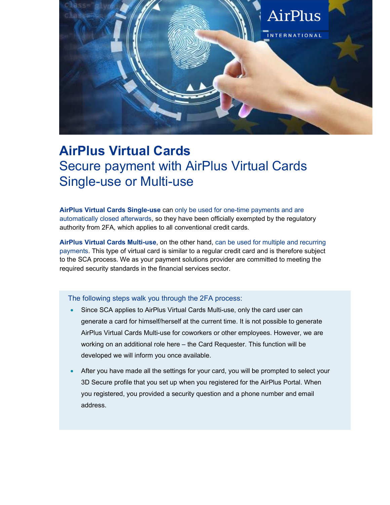

## AirPlus Virtual Cards Secure payment with AirPlus Virtual Cards Single-use or Multi-use

AirPlus Virtual Cards Single-use can only be used for one-time payments and are automatically closed afterwards, so they have been officially exempted by the regulatory authority from 2FA, which applies to all conventional credit cards.

AirPlus Virtual Cards Multi-use, on the other hand, can be used for multiple and recurring payments. This type of virtual card is similar to a regular credit card and is therefore subject to the SCA process. We as your payment solutions provider are committed to meeting the required security standards in the financial services sector.

## The following steps walk you through the 2FA process: **The can generate a card user can generate a card user can**

- for himself/herself at the current time. It is not possible to generate AirPlus Virtual Cards in the multi-use  $\bullet$  Since SCA applies to AirPlus Virtual Cards Multi-use, only the card user can generate a card for himself/herself at the current time. It is not possible to generate AirPlus Virtual Cards Multi-use for coworkers or other employees. However, we are working on an additional role here – the Card Requester. This function will be that you set up when you registered, you registered, you provided a security when you provided a security of the AirPlus Portal. When you provided, you provided a security of the AirPlus Portal. When you provided a securit question and a phone number and email address.
- 4. If you have not yet configured a 3D Secure profile, you will be prompted to set it up. A 3D Secure profile is 3D Secure profile that you set up when you registered for the AirPlus Portal. When  $\sim$  The one-time password we will send you by text message or email when you generate the first card during card during  $\sim$ a portal session is independent of SCA. The session is independent of SCA. The session is independent of SCA. After you have made all the settings for your card, you will be prompted to select your you registered, you provided a security question and a phone number and email address.